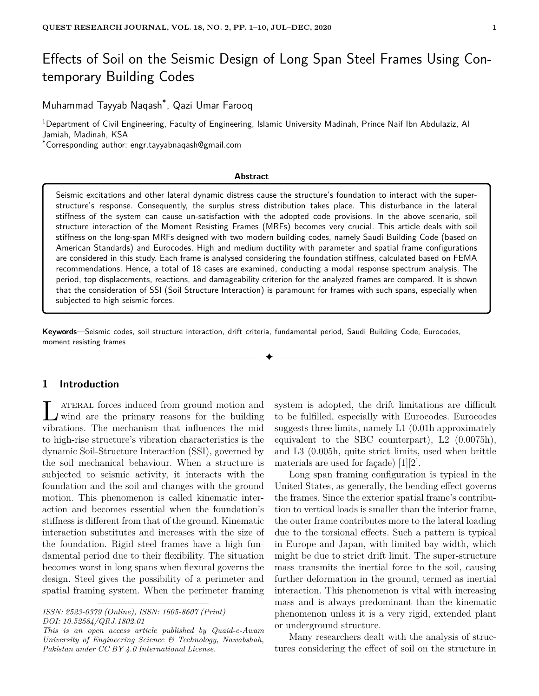# Effects of Soil on the Seismic Design of Long Span Steel Frames Using Contemporary Building Codes

Muhammad Tayyab Naqash\* , Qazi Umar Farooq

<sup>1</sup>Department of Civil Engineering, Faculty of Engineering, Islamic University Madinah, Prince Naif Ibn Abdulaziz, Al Jamiah, Madinah, KSA

\*Corresponding author: engr.tayyabnaqash@gmail.com

#### **Abstract**

Seismic excitations and other lateral dynamic distress cause the structure's foundation to interact with the superstructure's response. Consequently, the surplus stress distribution takes place. This disturbance in the lateral stiffness of the system can cause un-satisfaction with the adopted code provisions. In the above scenario, soil structure interaction of the Moment Resisting Frames (MRFs) becomes very crucial. This article deals with soil stiffness on the long-span MRFs designed with two modern building codes, namely Saudi Building Code (based on American Standards) and Eurocodes. High and medium ductility with parameter and spatial frame configurations are considered in this study. Each frame is analysed considering the foundation stiffness, calculated based on FEMA recommendations. Hence, a total of 18 cases are examined, conducting a modal response spectrum analysis. The period, top displacements, reactions, and damageability criterion for the analyzed frames are compared. It is shown that the consideration of SSI (Soil Structure Interaction) is paramount for frames with such spans, especially when subjected to high seismic forces.

**Keywords**—Seismic codes, soil structure interaction, drift criteria, fundamental period, Saudi Building Code, Eurocodes, moment resisting frames

✦

# **1 Introduction**

I ATERAL forces induced from ground motion and wind are the primary reasons for the building vibrations. The mechanism that influences the mid ATERAL forces induced from ground motion and wind are the primary reasons for the building to high-rise structure's vibration characteristics is the dynamic Soil-Structure Interaction (SSI), governed by the soil mechanical behaviour. When a structure is subjected to seismic activity, it interacts with the foundation and the soil and changes with the ground motion. This phenomenon is called kinematic interaction and becomes essential when the foundation's stiffness is different from that of the ground. Kinematic interaction substitutes and increases with the size of the foundation. Rigid steel frames have a high fundamental period due to their flexibility. The situation becomes worst in long spans when flexural governs the design. Steel gives the possibility of a perimeter and spatial framing system. When the perimeter framing

system is adopted, the drift limitations are difficult to be fulfilled, especially with Eurocodes. Eurocodes suggests three limits, namely L1 (0.01h approximately equivalent to the SBC counterpart), L2 (0.0075h), and L3 (0.005h, quite strict limits, used when brittle materials are used for façade)  $[1][2]$ .

Long span framing configuration is typical in the United States, as generally, the bending effect governs the frames. Since the exterior spatial frame's contribution to vertical loads is smaller than the interior frame, the outer frame contributes more to the lateral loading due to the torsional effects. Such a pattern is typical in Europe and Japan, with limited bay width, which might be due to strict drift limit. The super-structure mass transmits the inertial force to the soil, causing further deformation in the ground, termed as inertial interaction. This phenomenon is vital with increasing mass and is always predominant than the kinematic phenomenon unless it is a very rigid, extended plant or underground structure.

Many researchers dealt with the analysis of structures considering the effect of soil on the structure in

*ISSN: 2523-0379 (Online), ISSN: 1605-8607 (Print) DOI: 10.52584/QRJ.1802.01*

*This is an open access article published by Quaid-e-Awam University of Engineering Science & Technology, Nawabshah, Pakistan under CC BY 4.0 International License.*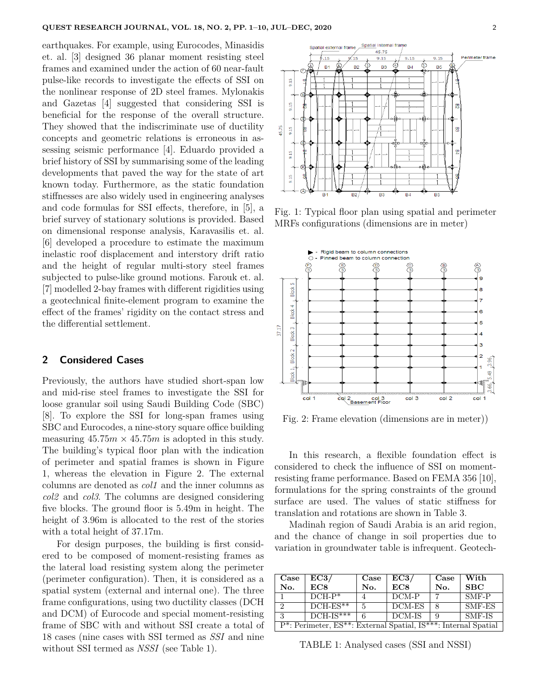earthquakes. For example, using Eurocodes, Minasidis et. al. [3] designed 36 planar moment resisting steel frames and examined under the action of 60 near-fault pulse-like records to investigate the effects of SSI on the nonlinear response of 2D steel frames. Mylonakis and Gazetas [4] suggested that considering SSI is beneficial for the response of the overall structure. They showed that the indiscriminate use of ductility concepts and geometric relations is erroneous in assessing seismic performance [4]. Eduardo provided a brief history of SSI by summarising some of the leading developments that paved the way for the state of art known today. Furthermore, as the static foundation stiffnesses are also widely used in engineering analyses and code formulas for SSI effects, therefore, in [5], a brief survey of stationary solutions is provided. Based on dimensional response analysis, Karavasilis et. al. [6] developed a procedure to estimate the maximum inelastic roof displacement and interstory drift ratio and the height of regular multi-story steel frames subjected to pulse-like ground motions. Farouk et. al. [7] modelled 2-bay frames with different rigidities using a geotechnical finite-element program to examine the effect of the frames' rigidity on the contact stress and the differential settlement.

#### **2 Considered Cases**

Previously, the authors have studied short-span low and mid-rise steel frames to investigate the SSI for loose granular soil using Saudi Building Code (SBC) [8]. To explore the SSI for long-span frames using SBC and Eurocodes, a nine-story square office building measuring  $45.75m \times 45.75m$  is adopted in this study. The building's typical floor plan with the indication of perimeter and spatial frames is shown in Figure 1, whereas the elevation in Figure 2. The external columns are denoted as *col1* and the inner columns as *col2* and *col3*. The columns are designed considering five blocks. The ground floor is 5.49m in height. The height of 3.96m is allocated to the rest of the stories with a total height of 37.17m.

For design purposes, the building is first considered to be composed of moment-resisting frames as the lateral load resisting system along the perimeter (perimeter configuration). Then, it is considered as a spatial system (external and internal one). The three frame configurations, using two ductility classes (DCH and DCM) of Eurocode and special moment-resisting frame of SBC with and without SSI create a total of 18 cases (nine cases with SSI termed as *SSI* and nine without SSI termed as *NSSI* (see Table 1).



Fig. 1: Typical floor plan using spatial and perimeter MRFs configurations (dimensions are in meter)



Fig. 2: Frame elevation (dimensions are in meter))

In this research, a flexible foundation effect is considered to check the influence of SSI on momentresisting frame performance. Based on FEMA 356 [10], formulations for the spring constraints of the ground surface are used. The values of static stiffness for translation and rotations are shown in Table 3.

Madinah region of Saudi Arabia is an arid region, and the chance of change in soil properties due to variation in groundwater table is infrequent. Geotech-

| Case                                                                                                  | EC3/        | Case | EC3/   | Case | With    |
|-------------------------------------------------------------------------------------------------------|-------------|------|--------|------|---------|
| No.                                                                                                   | EC8         | No.  | EC8    | No.  | SBC     |
|                                                                                                       | $DCH-P*$    |      | DCM-P  | 7    | $SMF-P$ |
| $\overline{2}$                                                                                        | $DCH-ES**$  | 5    | DCM-ES |      | SMF-ES  |
| 3                                                                                                     | $DCH-IS***$ | 6    | DCM-IS | 9    | SMF-IS  |
| P <sup>*</sup> : Perimeter, ES <sup>**</sup> : External Spatial, IS <sup>***</sup> : Internal Spatial |             |      |        |      |         |

TABLE 1: Analysed cases (SSI and NSSI)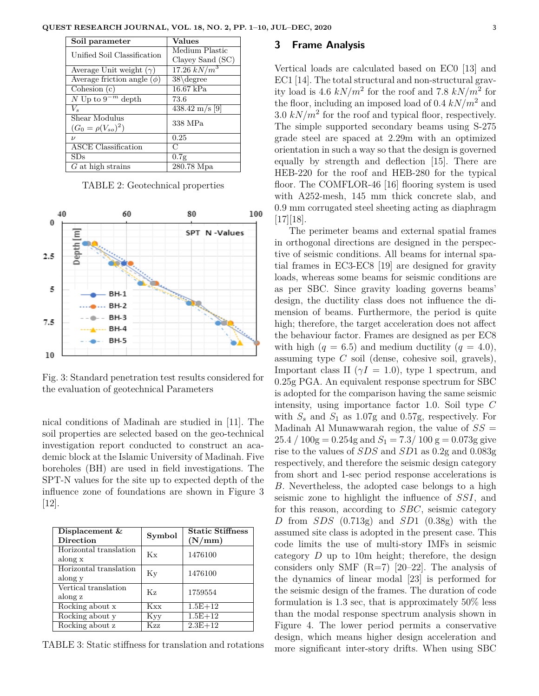| Soil parameter                   | Values                   |  |
|----------------------------------|--------------------------|--|
| Unified Soil Classification      | Medium Plastic           |  |
|                                  | Clayey Sand (SC)         |  |
| Average Unit weight $(\gamma)$   | $17.26 \; kN/m^3$        |  |
| Average friction angle $(\phi)$  | $38\degree$              |  |
| $\overline{\text{Cohesion}}$ (c) | $16.67$ kPa              |  |
| $\bar{N}$ Up to $9^{-m}$ depth   | 73.6                     |  |
| $V_{s}$                          | $438.42 \text{ m/s}$ [9] |  |
| Shear Modulus                    | 338 MPa                  |  |
| $(G_0 = \rho(V_{so})^2)$         |                          |  |
| $\boldsymbol{\nu}$               | 0.25                     |  |
| <b>ASCE</b> Classification       | C                        |  |
| SDs                              | 0.7g                     |  |
| $G$ at high strains              | 280.78 Mpa               |  |

TABLE 2: Geotechnical properties



Fig. 3: Standard penetration test results considered for the evaluation of geotechnical Parameters

nical conditions of Madinah are studied in [11]. The soil properties are selected based on the geo-technical investigation report conducted to construct an academic block at the Islamic University of Madinah. Five boreholes (BH) are used in field investigations. The SPT-N values for the site up to expected depth of the influence zone of foundations are shown in Figure 3 [12].

| Displacement &<br><b>Direction</b> | Symbol | <b>Static Stiffness</b><br>(N/mm) |
|------------------------------------|--------|-----------------------------------|
| Horizontal translation<br>along x  | Кx     | 1476100                           |
| Horizontal translation<br>along y  | Κv     | 1476100                           |
| Vertical translation<br>along z    | Kγ.    | 1759554                           |
| Rocking about x                    | Kxx    | $1.5E+12$                         |
| Rocking about y                    | Kyy    | $1.5E + 12$                       |
| Rocking about z                    | Kzz    | $2.3E+12$                         |

TABLE 3: Static stiffness for translation and rotations

#### **3 Frame Analysis**

Vertical loads are calculated based on EC0 [13] and EC1 [14]. The total structural and non-structural gravity load is 4.6  $kN/m^2$  for the roof and 7.8  $kN/m^2$  for the floor, including an imposed load of  $0.4 \, kN/m^2$  and  $3.0 \; kN/m^2$  for the roof and typical floor, respectively. The simple supported secondary beams using S-275 grade steel are spaced at 2.29m with an optimized orientation in such a way so that the design is governed equally by strength and deflection [15]. There are HEB-220 for the roof and HEB-280 for the typical floor. The COMFLOR-46 [16] flooring system is used with A252-mesh, 145 mm thick concrete slab, and 0.9 mm corrugated steel sheeting acting as diaphragm [17][18].

The perimeter beams and external spatial frames in orthogonal directions are designed in the perspective of seismic conditions. All beams for internal spatial frames in EC3-EC8 [19] are designed for gravity loads, whereas some beams for seismic conditions are as per SBC. Since gravity loading governs beams' design, the ductility class does not influence the dimension of beams. Furthermore, the period is quite high; therefore, the target acceleration does not affect the behaviour factor. Frames are designed as per EC8 with high  $(q = 6.5)$  and medium ductility  $(q = 4.0)$ , assuming type *C* soil (dense, cohesive soil, gravels), Important class II ( $\gamma I = 1.0$ ), type 1 spectrum, and 0.25g PGA. An equivalent response spectrum for SBC is adopted for the comparison having the same seismic intensity, using importance factor 1.0. Soil type *C* with  $S<sub>s</sub>$  and  $S<sub>1</sub>$  as 1.07g and 0.57g, respectively. For Madinah Al Munawwarah region, the value of  $SS =$  $25.4 / 100$ g = 0.254g and  $S_1 = 7.3 / 100$  g = 0.073g give rise to the values of *SDS* and *SD*1 as 0.2g and 0.083g respectively, and therefore the seismic design category from short and 1-sec period response accelerations is *B*. Nevertheless, the adopted case belongs to a high seismic zone to highlight the influence of *SSI*, and for this reason, according to *SBC*, seismic category *D* from *SDS* (0.713g) and *SD*1 (0.38g) with the assumed site class is adopted in the present case. This code limits the use of multi-story IMFs in seismic category *D* up to 10m height; therefore, the design considers only SMF  $(R=7)$  [20–22]. The analysis of the dynamics of linear modal [23] is performed for the seismic design of the frames. The duration of code formulation is 1.3 sec, that is approximately 50% less than the modal response spectrum analysis shown in Figure 4. The lower period permits a conservative design, which means higher design acceleration and more significant inter-story drifts. When using SBC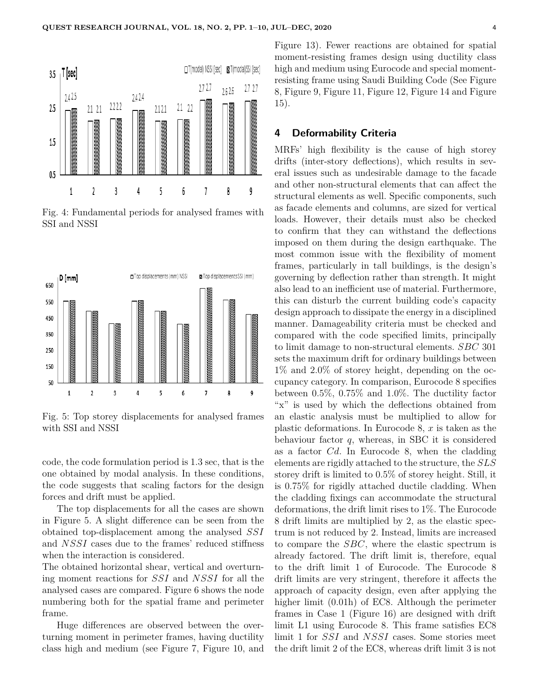

Fig. 4: Fundamental periods for analysed frames with SSI and NSSI



Fig. 5: Top storey displacements for analysed frames with SSI and NSSI

code, the code formulation period is 1.3 sec, that is the one obtained by modal analysis. In these conditions, the code suggests that scaling factors for the design forces and drift must be applied.

The top displacements for all the cases are shown in Figure 5. A slight difference can be seen from the obtained top-displacement among the analysed *SSI* and *NSSI* cases due to the frames' reduced stiffness when the interaction is considered.

The obtained horizontal shear, vertical and overturning moment reactions for *SSI* and *NSSI* for all the analysed cases are compared. Figure 6 shows the node numbering both for the spatial frame and perimeter frame.

Huge differences are observed between the overturning moment in perimeter frames, having ductility class high and medium (see Figure 7, Figure 10, and Figure 13). Fewer reactions are obtained for spatial moment-resisting frames design using ductility class high and medium using Eurocode and special momentresisting frame using Saudi Building Code (See Figure 8, Figure 9, Figure 11, Figure 12, Figure 14 and Figure 15).

# **4 Deformability Criteria**

MRFs' high flexibility is the cause of high storey drifts (inter-story deflections), which results in several issues such as undesirable damage to the facade and other non-structural elements that can affect the structural elements as well. Specific components, such as facade elements and columns, are sized for vertical loads. However, their details must also be checked to confirm that they can withstand the deflections imposed on them during the design earthquake. The most common issue with the flexibility of moment frames, particularly in tall buildings, is the design's governing by deflection rather than strength. It might also lead to an inefficient use of material. Furthermore, this can disturb the current building code's capacity design approach to dissipate the energy in a disciplined manner. Damageability criteria must be checked and compared with the code specified limits, principally to limit damage to non-structural elements. *SBC* 301 sets the maximum drift for ordinary buildings between 1% and 2.0% of storey height, depending on the occupancy category. In comparison, Eurocode 8 specifies between 0.5%, 0.75% and 1.0%. The ductility factor "x" is used by which the deflections obtained from an elastic analysis must be multiplied to allow for plastic deformations. In Eurocode 8, *x* is taken as the behaviour factor *q*, whereas, in SBC it is considered as a factor *Cd*. In Eurocode 8, when the cladding elements are rigidly attached to the structure, the *SLS* storey drift is limited to 0.5% of storey height. Still, it is 0.75% for rigidly attached ductile cladding. When the cladding fixings can accommodate the structural deformations, the drift limit rises to 1%. The Eurocode 8 drift limits are multiplied by 2, as the elastic spectrum is not reduced by 2. Instead, limits are increased to compare the *SBC*, where the elastic spectrum is already factored. The drift limit is, therefore, equal to the drift limit 1 of Eurocode. The Eurocode 8 drift limits are very stringent, therefore it affects the approach of capacity design, even after applying the higher limit (0.01h) of EC8. Although the perimeter frames in Case 1 (Figure 16) are designed with drift limit L1 using Eurocode 8. This frame satisfies EC8 limit 1 for *SSI* and *NSSI* cases. Some stories meet the drift limit 2 of the EC8, whereas drift limit 3 is not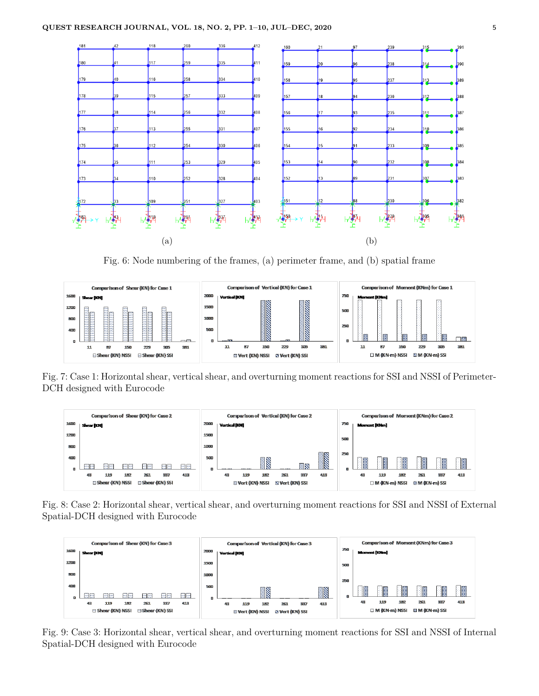

Fig. 6: Node numbering of the frames, (a) perimeter frame, and (b) spatial frame



Fig. 7: Case 1: Horizontal shear, vertical shear, and overturning moment reactions for SSI and NSSI of Perimeter-DCH designed with Eurocode



Fig. 8: Case 2: Horizontal shear, vertical shear, and overturning moment reactions for SSI and NSSI of External Spatial-DCH designed with Eurocode



Fig. 9: Case 3: Horizontal shear, vertical shear, and overturning moment reactions for SSI and NSSI of Internal Spatial-DCH designed with Eurocode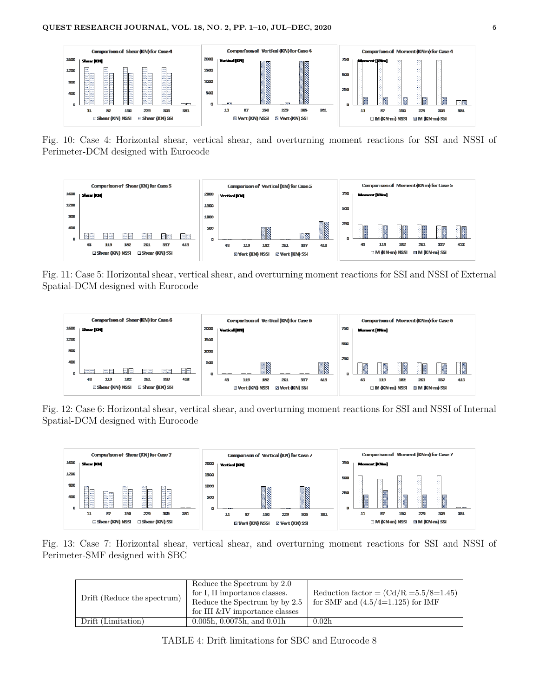

Fig. 10: Case 4: Horizontal shear, vertical shear, and overturning moment reactions for SSI and NSSI of Perimeter-DCM designed with Eurocode



Fig. 11: Case 5: Horizontal shear, vertical shear, and overturning moment reactions for SSI and NSSI of External Spatial-DCM designed with Eurocode



Fig. 12: Case 6: Horizontal shear, vertical shear, and overturning moment reactions for SSI and NSSI of Internal Spatial-DCM designed with Eurocode



Fig. 13: Case 7: Horizontal shear, vertical shear, and overturning moment reactions for SSI and NSSI of Perimeter-SMF designed with SBC

| Drift (Reduce the spectrum) | Reduce the Spectrum by 2.0<br>for I, II importance classes.<br>Reduce the Spectrum by by 2.5<br>for III &IV importance classes | Reduction factor = $\left(\frac{\text{Cd}}{\text{R}}\right) = 5.5/8 = 1.45$<br>for SMF and $(4.5/4=1.125)$ for IMF |
|-----------------------------|--------------------------------------------------------------------------------------------------------------------------------|--------------------------------------------------------------------------------------------------------------------|
| Drift (Limitation)          | 0.005h, 0.0075h, and 0.01h                                                                                                     | 0.02 <sub>h</sub>                                                                                                  |

TABLE 4: Drift limitations for SBC and Eurocode 8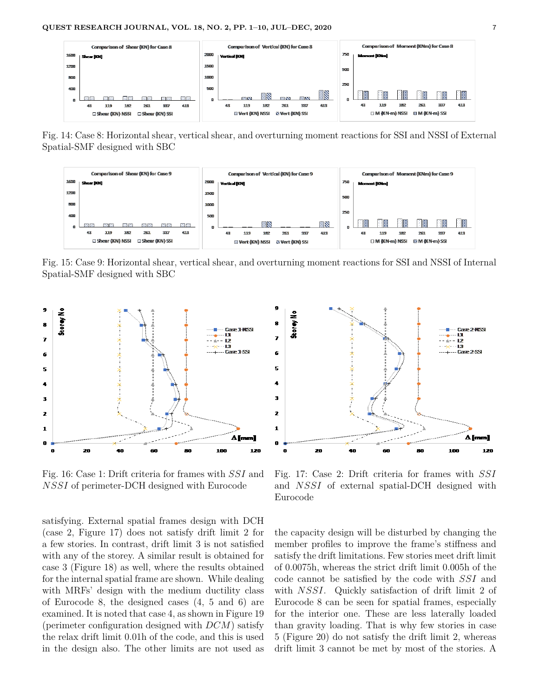

Fig. 14: Case 8: Horizontal shear, vertical shear, and overturning moment reactions for SSI and NSSI of External Spatial-SMF designed with SBC



Fig. 15: Case 9: Horizontal shear, vertical shear, and overturning moment reactions for SSI and NSSI of Internal Spatial-SMF designed with SBC



Fig. 16: Case 1: Drift criteria for frames with *SSI* and *NSSI* of perimeter-DCH designed with Eurocode

satisfying. External spatial frames design with DCH (case 2, Figure 17) does not satisfy drift limit 2 for a few stories. In contrast, drift limit 3 is not satisfied with any of the storey. A similar result is obtained for case 3 (Figure 18) as well, where the results obtained for the internal spatial frame are shown. While dealing with MRFs' design with the medium ductility class of Eurocode 8, the designed cases (4, 5 and 6) are examined. It is noted that case 4, as shown in Figure 19 (perimeter configuration designed with *DCM*) satisfy the relax drift limit 0.01h of the code, and this is used in the design also. The other limits are not used as



Fig. 17: Case 2: Drift criteria for frames with *SSI* and *NSSI* of external spatial-DCH designed with Eurocode

the capacity design will be disturbed by changing the member profiles to improve the frame's stiffness and satisfy the drift limitations. Few stories meet drift limit of 0.0075h, whereas the strict drift limit 0.005h of the code cannot be satisfied by the code with *SSI* and with *NSSI*. Quickly satisfaction of drift limit 2 of Eurocode 8 can be seen for spatial frames, especially for the interior one. These are less laterally loaded than gravity loading. That is why few stories in case 5 (Figure 20) do not satisfy the drift limit 2, whereas drift limit 3 cannot be met by most of the stories. A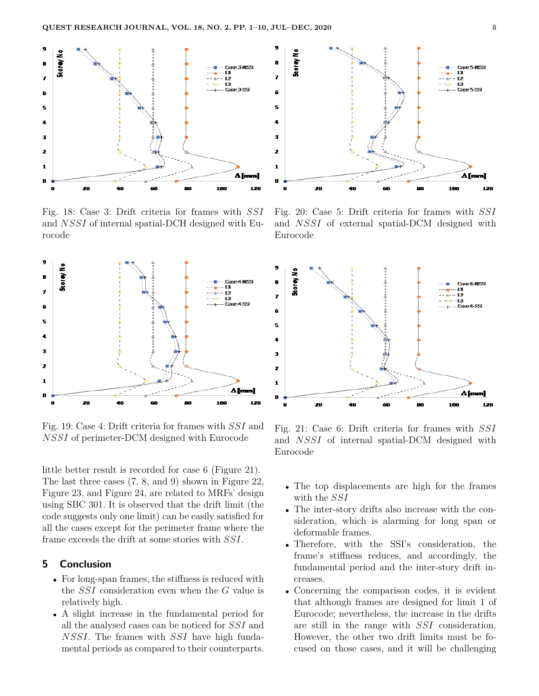

Fig. 18: Case 3: Drift criteria for frames with *SSI* and *NSSI* of internal spatial-DCH designed with Eurocode



Fig. 19: Case 4: Drift criteria for frames with *SSI* and *NSSI* of perimeter-DCM designed with Eurocode

little better result is recorded for case 6 (Figure 21). The last three cases (7, 8, and 9) shown in Figure 22, Figure 23, and Figure 24, are related to MRFs' design using SBC 301. It is observed that the drift limit (the code suggests only one limit) can be easily satisfied for all the cases except for the perimeter frame where the frame exceeds the drift at some stories with *SSI*.

## **5 Conclusion**

- For long-span frames, the stiffness is reduced with the *SSI* consideration even when the *G* value is relatively high.
- A slight increase in the fundamental period for all the analysed cases can be noticed for *SSI* and *NSSI*. The frames with *SSI* have high fundamental periods as compared to their counterparts.



Fig. 20: Case 5: Drift criteria for frames with *SSI* and *NSSI* of external spatial-DCM designed with Eurocode



Fig. 21: Case 6: Drift criteria for frames with *SSI* and *NSSI* of internal spatial-DCM designed with Eurocode

- The top displacements are high for the frames with the *SSI*
- The inter-story drifts also increase with the consideration, which is alarming for long span or deformable frames.
- Therefore, with the SSI's consideration, the frame's stiffness reduces, and accordingly, the fundamental period and the inter-story drift increases.
- Concerning the comparison codes, it is evident that although frames are designed for limit 1 of Eurocode; nevertheless, the increase in the drifts are still in the range with *SSI* consideration. However, the other two drift limits must be focused on those cases, and it will be challenging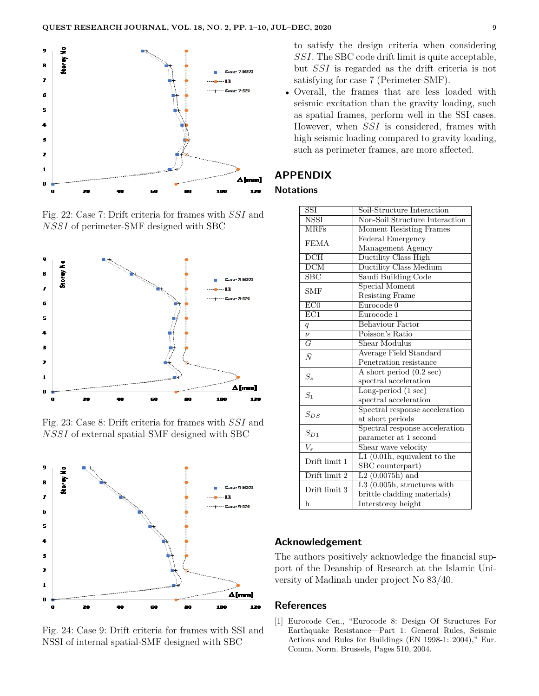

Fig. 22: Case 7: Drift criteria for frames with *SSI* and *NSSI* of perimeter-SMF designed with SBC







Fig. 24: Case 9: Drift criteria for frames with SSI and NSSI of internal spatial-SMF designed with SBC

to satisfy the design criteria when considering *SSI*. The SBC code drift limit is quite acceptable, but *SSI* is regarded as the drift criteria is not satisfying for case 7 (Perimeter-SMF).

• Overall, the frames that are less loaded with seismic excitation than the gravity loading, such as spatial frames, perform well in the SSI cases. However, when *SSI* is considered, frames with high seismic loading compared to gravity loading, such as perimeter frames, are more affected.

#### **APPENDIX**

#### **Notations**

| $\overline{\text{SST}}$   | Soil-Structure Interaction         |  |  |
|---------------------------|------------------------------------|--|--|
| <b>NSSI</b>               | Non-Soil Structure Interaction     |  |  |
| <b>MRFs</b>               | Moment Resisting Frames            |  |  |
| <b>FEMA</b>               | Federal Emergency                  |  |  |
|                           | Management Agency                  |  |  |
| $\overline{\text{DCH}}$   | Ductility Class High               |  |  |
| $\overline{\mathrm{DCM}}$ | <b>Ductility Class Medium</b>      |  |  |
| $\overline{\text{SBC}}$   | Saudi Building Code                |  |  |
| <b>SMF</b>                | Special Moment                     |  |  |
|                           | <b>Resisting Frame</b>             |  |  |
| ECO                       | Eurocode 0                         |  |  |
| $\overline{EC1}$          | Eurocode 1                         |  |  |
| q                         | <b>Behaviour Factor</b>            |  |  |
| $\overline{\nu}$          | Poisson's Ratio                    |  |  |
| $\overline{G}$            | Shear Modulus                      |  |  |
| $\bar{N}$                 | Average Field Standard             |  |  |
|                           | Penetration resistance             |  |  |
| $S_{s}$                   | A short period $(0.2 \text{ sec})$ |  |  |
|                           | spectral acceleration              |  |  |
| S <sub>1</sub>            | Long-period $(1 \text{ sec})$      |  |  |
|                           | spectral acceleration              |  |  |
| $S_{DS}$                  | Spectral response acceleration     |  |  |
|                           | at short periods                   |  |  |
| $S_{D1}$                  | Spectral response acceleration     |  |  |
|                           | parameter at 1 second              |  |  |
| $\overline{V_{\rm e}}$    | Shear wave velocity                |  |  |
| Drift limit 1             | $L1$ (0.01h, equivalent to the     |  |  |
|                           | SBC counterpart)                   |  |  |
| Drift limit 2             | $L2(0.0075h)$ and                  |  |  |
| Drift limit 3             | L3 $(0.005h,$ structures with      |  |  |
|                           | brittle cladding materials)        |  |  |
| h                         | Interstorey height                 |  |  |
|                           |                                    |  |  |

## **Acknowledgement**

The authors positively acknowledge the financial support of the Deanship of Research at the Islamic University of Madinah under project No 83/40.

## **References**

[1] Eurocode Cen., "Eurocode 8: Design Of Structures For Earthquake Resistance—Part 1: General Rules, Seismic Actions and Rules for Buildings (EN 1998-1: 2004)," Eur. Comm. Norm. Brussels, Pages 510, 2004.